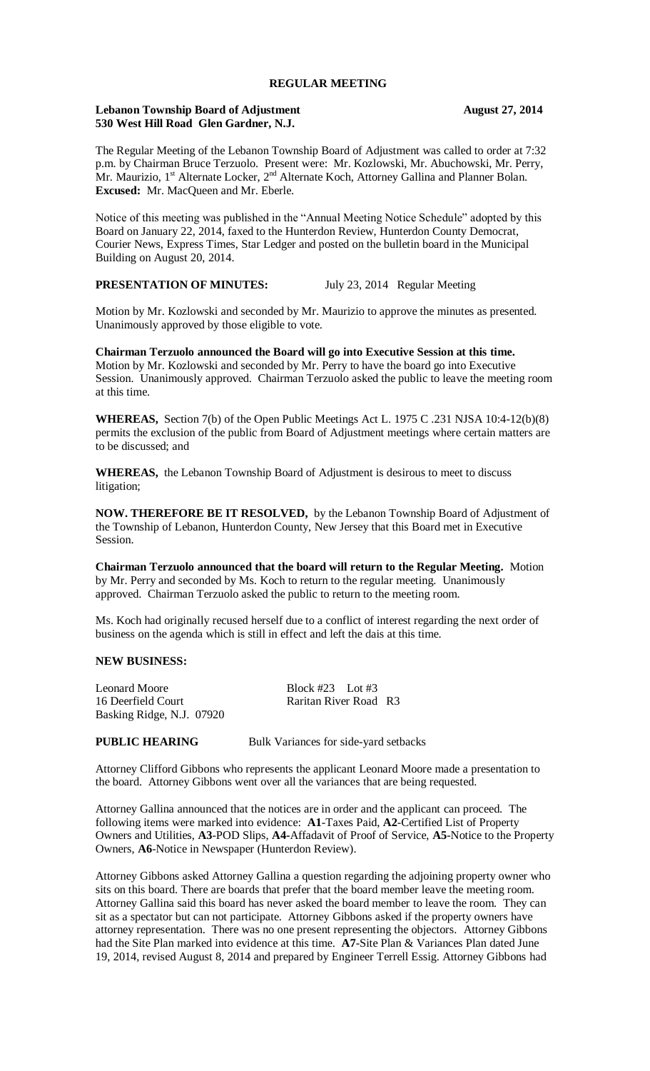#### **REGULAR MEETING**

#### **Lebanon Township Board of Adjustment August 27, 2014 530 West Hill Road Glen Gardner, N.J.**

The Regular Meeting of the Lebanon Township Board of Adjustment was called to order at 7:32 p.m. by Chairman Bruce Terzuolo. Present were: Mr. Kozlowski, Mr. Abuchowski, Mr. Perry, Mr. Maurizio,  $1^{st}$  Alternate Locker,  $2^{nd}$  Alternate Koch, Attorney Gallina and Planner Bolan. **Excused:** Mr. MacQueen and Mr. Eberle.

Notice of this meeting was published in the "Annual Meeting Notice Schedule" adopted by this Board on January 22, 2014, faxed to the Hunterdon Review, Hunterdon County Democrat, Courier News, Express Times, Star Ledger and posted on the bulletin board in the Municipal Building on August 20, 2014.

## **PRESENTATION OF MINUTES:** July 23, 2014 Regular Meeting

Motion by Mr. Kozlowski and seconded by Mr. Maurizio to approve the minutes as presented. Unanimously approved by those eligible to vote.

**Chairman Terzuolo announced the Board will go into Executive Session at this time.**  Motion by Mr. Kozlowski and seconded by Mr. Perry to have the board go into Executive Session. Unanimously approved. Chairman Terzuolo asked the public to leave the meeting room at this time.

**WHEREAS,** Section 7(b) of the Open Public Meetings Act L. 1975 C .231 NJSA 10:4-12(b)(8) permits the exclusion of the public from Board of Adjustment meetings where certain matters are to be discussed; and

**WHEREAS,** the Lebanon Township Board of Adjustment is desirous to meet to discuss litigation;

**NOW. THEREFORE BE IT RESOLVED,** by the Lebanon Township Board of Adjustment of the Township of Lebanon, Hunterdon County, New Jersey that this Board met in Executive Session.

**Chairman Terzuolo announced that the board will return to the Regular Meeting.** Motion by Mr. Perry and seconded by Ms. Koch to return to the regular meeting. Unanimously approved. Chairman Terzuolo asked the public to return to the meeting room.

Ms. Koch had originally recused herself due to a conflict of interest regarding the next order of business on the agenda which is still in effect and left the dais at this time.

#### **NEW BUSINESS:**

Leonard Moore<br>
16 Deerfield Court<br>
216 Deerfield Court<br>
216 Naritan River Road Raritan River Road R3 Basking Ridge, N.J. 07920

# **PUBLIC HEARING** Bulk Variances for side-yard setbacks

Attorney Clifford Gibbons who represents the applicant Leonard Moore made a presentation to the board. Attorney Gibbons went over all the variances that are being requested.

Attorney Gallina announced that the notices are in order and the applicant can proceed. The following items were marked into evidence: **A1**-Taxes Paid, **A2**-Certified List of Property Owners and Utilities, **A3**-POD Slips, **A4-**Affadavit of Proof of Service, **A5**-Notice to the Property Owners, **A6**-Notice in Newspaper (Hunterdon Review).

Attorney Gibbons asked Attorney Gallina a question regarding the adjoining property owner who sits on this board. There are boards that prefer that the board member leave the meeting room. Attorney Gallina said this board has never asked the board member to leave the room. They can sit as a spectator but can not participate. Attorney Gibbons asked if the property owners have attorney representation. There was no one present representing the objectors. Attorney Gibbons had the Site Plan marked into evidence at this time. **A7**-Site Plan & Variances Plan dated June 19, 2014, revised August 8, 2014 and prepared by Engineer Terrell Essig. Attorney Gibbons had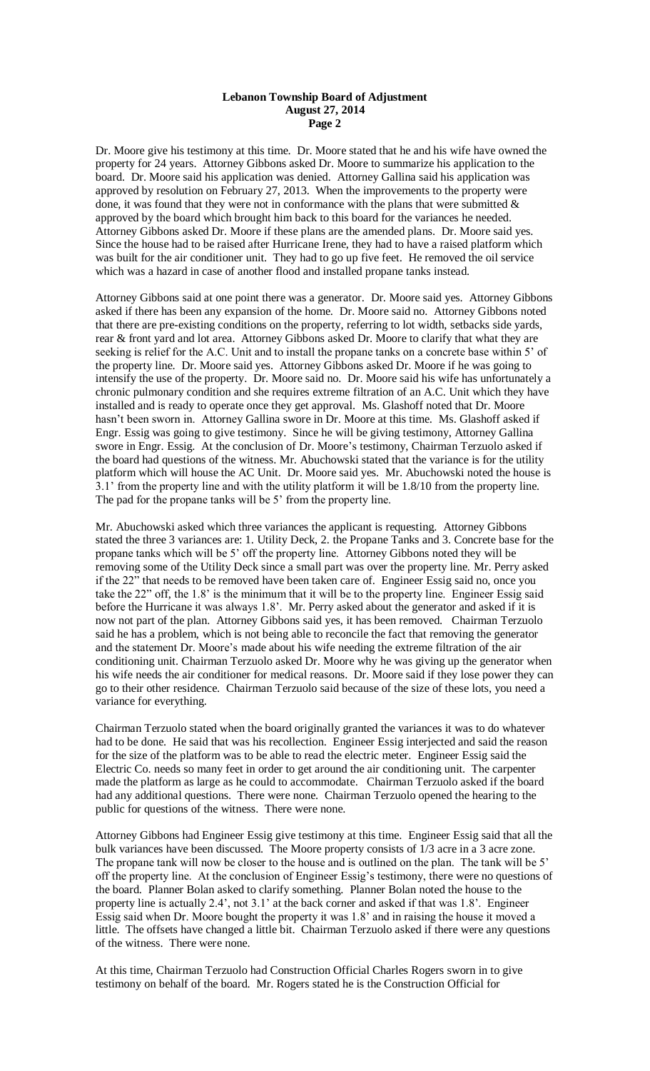Dr. Moore give his testimony at this time. Dr. Moore stated that he and his wife have owned the property for 24 years. Attorney Gibbons asked Dr. Moore to summarize his application to the board. Dr. Moore said his application was denied. Attorney Gallina said his application was approved by resolution on February 27, 2013. When the improvements to the property were done, it was found that they were not in conformance with the plans that were submitted  $\&$ approved by the board which brought him back to this board for the variances he needed. Attorney Gibbons asked Dr. Moore if these plans are the amended plans. Dr. Moore said yes. Since the house had to be raised after Hurricane Irene, they had to have a raised platform which was built for the air conditioner unit. They had to go up five feet. He removed the oil service which was a hazard in case of another flood and installed propane tanks instead.

Attorney Gibbons said at one point there was a generator. Dr. Moore said yes. Attorney Gibbons asked if there has been any expansion of the home. Dr. Moore said no. Attorney Gibbons noted that there are pre-existing conditions on the property, referring to lot width, setbacks side yards, rear & front yard and lot area. Attorney Gibbons asked Dr. Moore to clarify that what they are seeking is relief for the A.C. Unit and to install the propane tanks on a concrete base within 5' of the property line. Dr. Moore said yes. Attorney Gibbons asked Dr. Moore if he was going to intensify the use of the property. Dr. Moore said no. Dr. Moore said his wife has unfortunately a chronic pulmonary condition and she requires extreme filtration of an A.C. Unit which they have installed and is ready to operate once they get approval. Ms. Glashoff noted that Dr. Moore hasn't been sworn in. Attorney Gallina swore in Dr. Moore at this time. Ms. Glashoff asked if Engr. Essig was going to give testimony. Since he will be giving testimony, Attorney Gallina swore in Engr. Essig. At the conclusion of Dr. Moore's testimony, Chairman Terzuolo asked if the board had questions of the witness. Mr. Abuchowski stated that the variance is for the utility platform which will house the AC Unit. Dr. Moore said yes. Mr. Abuchowski noted the house is 3.1' from the property line and with the utility platform it will be 1.8/10 from the property line. The pad for the propane tanks will be 5' from the property line.

Mr. Abuchowski asked which three variances the applicant is requesting. Attorney Gibbons stated the three 3 variances are: 1. Utility Deck, 2. the Propane Tanks and 3. Concrete base for the propane tanks which will be 5' off the property line. Attorney Gibbons noted they will be removing some of the Utility Deck since a small part was over the property line. Mr. Perry asked if the 22" that needs to be removed have been taken care of. Engineer Essig said no, once you take the 22" off, the 1.8' is the minimum that it will be to the property line. Engineer Essig said before the Hurricane it was always 1.8'. Mr. Perry asked about the generator and asked if it is now not part of the plan. Attorney Gibbons said yes, it has been removed. Chairman Terzuolo said he has a problem, which is not being able to reconcile the fact that removing the generator and the statement Dr. Moore's made about his wife needing the extreme filtration of the air conditioning unit. Chairman Terzuolo asked Dr. Moore why he was giving up the generator when his wife needs the air conditioner for medical reasons. Dr. Moore said if they lose power they can go to their other residence. Chairman Terzuolo said because of the size of these lots, you need a variance for everything.

Chairman Terzuolo stated when the board originally granted the variances it was to do whatever had to be done. He said that was his recollection. Engineer Essig interjected and said the reason for the size of the platform was to be able to read the electric meter. Engineer Essig said the Electric Co. needs so many feet in order to get around the air conditioning unit. The carpenter made the platform as large as he could to accommodate. Chairman Terzuolo asked if the board had any additional questions. There were none. Chairman Terzuolo opened the hearing to the public for questions of the witness. There were none.

Attorney Gibbons had Engineer Essig give testimony at this time. Engineer Essig said that all the bulk variances have been discussed. The Moore property consists of 1/3 acre in a 3 acre zone. The propane tank will now be closer to the house and is outlined on the plan. The tank will be 5' off the property line. At the conclusion of Engineer Essig's testimony, there were no questions of the board. Planner Bolan asked to clarify something. Planner Bolan noted the house to the property line is actually 2.4', not 3.1' at the back corner and asked if that was 1.8'. Engineer Essig said when Dr. Moore bought the property it was 1.8' and in raising the house it moved a little. The offsets have changed a little bit. Chairman Terzuolo asked if there were any questions of the witness. There were none.

At this time, Chairman Terzuolo had Construction Official Charles Rogers sworn in to give testimony on behalf of the board. Mr. Rogers stated he is the Construction Official for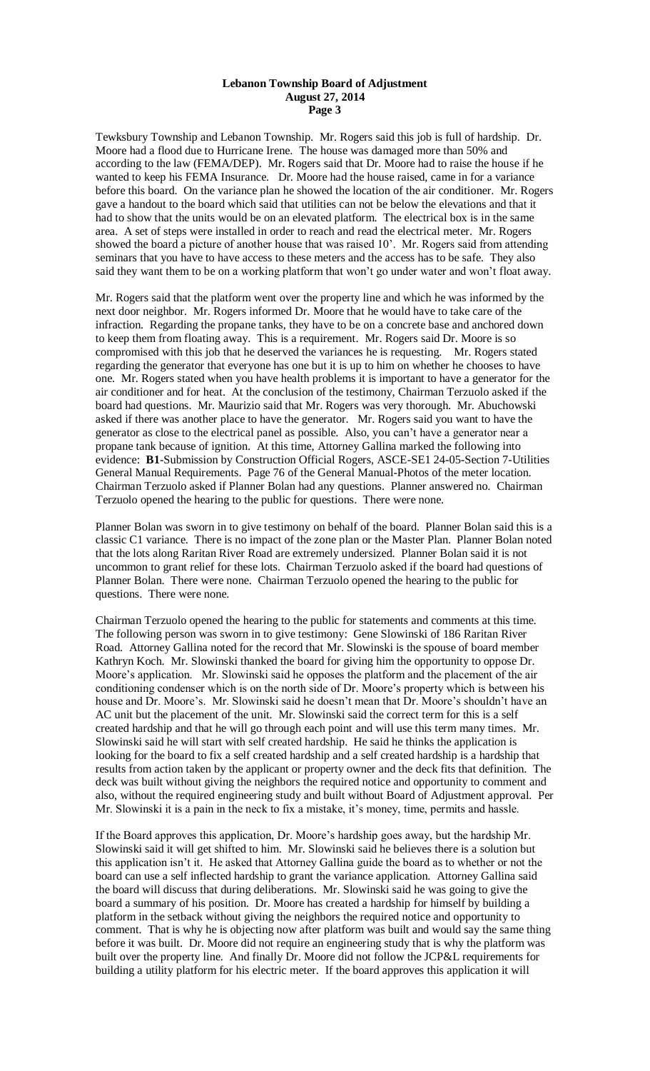Tewksbury Township and Lebanon Township. Mr. Rogers said this job is full of hardship. Dr. Moore had a flood due to Hurricane Irene. The house was damaged more than 50% and according to the law (FEMA/DEP). Mr. Rogers said that Dr. Moore had to raise the house if he wanted to keep his FEMA Insurance. Dr. Moore had the house raised, came in for a variance before this board. On the variance plan he showed the location of the air conditioner. Mr. Rogers gave a handout to the board which said that utilities can not be below the elevations and that it had to show that the units would be on an elevated platform. The electrical box is in the same area. A set of steps were installed in order to reach and read the electrical meter. Mr. Rogers showed the board a picture of another house that was raised 10'. Mr. Rogers said from attending seminars that you have to have access to these meters and the access has to be safe. They also said they want them to be on a working platform that won't go under water and won't float away.

Mr. Rogers said that the platform went over the property line and which he was informed by the next door neighbor. Mr. Rogers informed Dr. Moore that he would have to take care of the infraction. Regarding the propane tanks, they have to be on a concrete base and anchored down to keep them from floating away. This is a requirement. Mr. Rogers said Dr. Moore is so compromised with this job that he deserved the variances he is requesting. Mr. Rogers stated regarding the generator that everyone has one but it is up to him on whether he chooses to have one. Mr. Rogers stated when you have health problems it is important to have a generator for the air conditioner and for heat. At the conclusion of the testimony, Chairman Terzuolo asked if the board had questions. Mr. Maurizio said that Mr. Rogers was very thorough. Mr. Abuchowski asked if there was another place to have the generator. Mr. Rogers said you want to have the generator as close to the electrical panel as possible. Also, you can't have a generator near a propane tank because of ignition. At this time, Attorney Gallina marked the following into evidence: **B1**-Submission by Construction Official Rogers, ASCE-SE1 24-05-Section 7-Utilities General Manual Requirements. Page 76 of the General Manual-Photos of the meter location. Chairman Terzuolo asked if Planner Bolan had any questions. Planner answered no. Chairman Terzuolo opened the hearing to the public for questions. There were none.

Planner Bolan was sworn in to give testimony on behalf of the board. Planner Bolan said this is a classic C1 variance. There is no impact of the zone plan or the Master Plan. Planner Bolan noted that the lots along Raritan River Road are extremely undersized. Planner Bolan said it is not uncommon to grant relief for these lots. Chairman Terzuolo asked if the board had questions of Planner Bolan. There were none. Chairman Terzuolo opened the hearing to the public for questions. There were none.

Chairman Terzuolo opened the hearing to the public for statements and comments at this time. The following person was sworn in to give testimony: Gene Slowinski of 186 Raritan River Road. Attorney Gallina noted for the record that Mr. Slowinski is the spouse of board member Kathryn Koch. Mr. Slowinski thanked the board for giving him the opportunity to oppose Dr. Moore's application. Mr. Slowinski said he opposes the platform and the placement of the air conditioning condenser which is on the north side of Dr. Moore's property which is between his house and Dr. Moore's. Mr. Slowinski said he doesn't mean that Dr. Moore's shouldn't have an AC unit but the placement of the unit. Mr. Slowinski said the correct term for this is a self created hardship and that he will go through each point and will use this term many times. Mr. Slowinski said he will start with self created hardship. He said he thinks the application is looking for the board to fix a self created hardship and a self created hardship is a hardship that results from action taken by the applicant or property owner and the deck fits that definition. The deck was built without giving the neighbors the required notice and opportunity to comment and also, without the required engineering study and built without Board of Adjustment approval. Per Mr. Slowinski it is a pain in the neck to fix a mistake, it's money, time, permits and hassle.

If the Board approves this application, Dr. Moore's hardship goes away, but the hardship Mr. Slowinski said it will get shifted to him. Mr. Slowinski said he believes there is a solution but this application isn't it. He asked that Attorney Gallina guide the board as to whether or not the board can use a self inflected hardship to grant the variance application. Attorney Gallina said the board will discuss that during deliberations. Mr. Slowinski said he was going to give the board a summary of his position. Dr. Moore has created a hardship for himself by building a platform in the setback without giving the neighbors the required notice and opportunity to comment. That is why he is objecting now after platform was built and would say the same thing before it was built. Dr. Moore did not require an engineering study that is why the platform was built over the property line. And finally Dr. Moore did not follow the JCP&L requirements for building a utility platform for his electric meter. If the board approves this application it will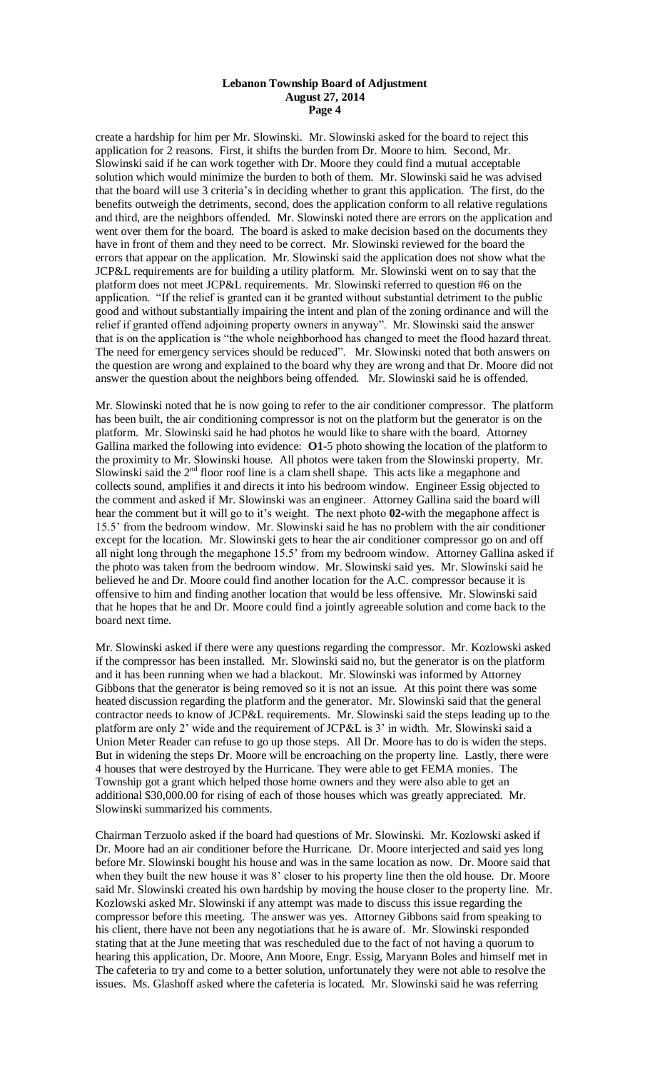create a hardship for him per Mr. Slowinski. Mr. Slowinski asked for the board to reject this application for 2 reasons. First, it shifts the burden from Dr. Moore to him. Second, Mr. Slowinski said if he can work together with Dr. Moore they could find a mutual acceptable solution which would minimize the burden to both of them. Mr. Slowinski said he was advised that the board will use 3 criteria's in deciding whether to grant this application. The first, do the benefits outweigh the detriments, second, does the application conform to all relative regulations and third, are the neighbors offended. Mr. Slowinski noted there are errors on the application and went over them for the board. The board is asked to make decision based on the documents they have in front of them and they need to be correct. Mr. Slowinski reviewed for the board the errors that appear on the application. Mr. Slowinski said the application does not show what the JCP&L requirements are for building a utility platform. Mr. Slowinski went on to say that the platform does not meet JCP&L requirements. Mr. Slowinski referred to question #6 on the application. "If the relief is granted can it be granted without substantial detriment to the public good and without substantially impairing the intent and plan of the zoning ordinance and will the relief if granted offend adjoining property owners in anyway". Mr. Slowinski said the answer that is on the application is "the whole neighborhood has changed to meet the flood hazard threat. The need for emergency services should be reduced". Mr. Slowinski noted that both answers on the question are wrong and explained to the board why they are wrong and that Dr. Moore did not answer the question about the neighbors being offended. Mr. Slowinski said he is offended.

Mr. Slowinski noted that he is now going to refer to the air conditioner compressor. The platform has been built, the air conditioning compressor is not on the platform but the generator is on the platform. Mr. Slowinski said he had photos he would like to share with the board. Attorney Gallina marked the following into evidence: **O1**-5 photo showing the location of the platform to the proximity to Mr. Slowinski house. All photos were taken from the Slowinski property. Mr. Slowinski said the  $2<sup>nd</sup>$  floor roof line is a clam shell shape. This acts like a megaphone and collects sound, amplifies it and directs it into his bedroom window. Engineer Essig objected to the comment and asked if Mr. Slowinski was an engineer. Attorney Gallina said the board will hear the comment but it will go to it's weight. The next photo **02-**with the megaphone affect is 15.5' from the bedroom window. Mr. Slowinski said he has no problem with the air conditioner except for the location. Mr. Slowinski gets to hear the air conditioner compressor go on and off all night long through the megaphone 15.5' from my bedroom window. Attorney Gallina asked if the photo was taken from the bedroom window. Mr. Slowinski said yes. Mr. Slowinski said he believed he and Dr. Moore could find another location for the A.C. compressor because it is offensive to him and finding another location that would be less offensive. Mr. Slowinski said that he hopes that he and Dr. Moore could find a jointly agreeable solution and come back to the board next time.

Mr. Slowinski asked if there were any questions regarding the compressor. Mr. Kozlowski asked if the compressor has been installed. Mr. Slowinski said no, but the generator is on the platform and it has been running when we had a blackout. Mr. Slowinski was informed by Attorney Gibbons that the generator is being removed so it is not an issue. At this point there was some heated discussion regarding the platform and the generator. Mr. Slowinski said that the general contractor needs to know of JCP&L requirements. Mr. Slowinski said the steps leading up to the platform are only 2' wide and the requirement of JCP&L is 3' in width. Mr. Slowinski said a Union Meter Reader can refuse to go up those steps. All Dr. Moore has to do is widen the steps. But in widening the steps Dr. Moore will be encroaching on the property line. Lastly, there were 4 houses that were destroyed by the Hurricane. They were able to get FEMA monies. The Township got a grant which helped those home owners and they were also able to get an additional \$30,000.00 for rising of each of those houses which was greatly appreciated. Mr. Slowinski summarized his comments.

Chairman Terzuolo asked if the board had questions of Mr. Slowinski. Mr. Kozlowski asked if Dr. Moore had an air conditioner before the Hurricane. Dr. Moore interjected and said yes long before Mr. Slowinski bought his house and was in the same location as now. Dr. Moore said that when they built the new house it was 8' closer to his property line then the old house. Dr. Moore said Mr. Slowinski created his own hardship by moving the house closer to the property line. Mr. Kozlowski asked Mr. Slowinski if any attempt was made to discuss this issue regarding the compressor before this meeting. The answer was yes. Attorney Gibbons said from speaking to his client, there have not been any negotiations that he is aware of. Mr. Slowinski responded stating that at the June meeting that was rescheduled due to the fact of not having a quorum to hearing this application, Dr. Moore, Ann Moore, Engr. Essig, Maryann Boles and himself met in The cafeteria to try and come to a better solution, unfortunately they were not able to resolve the issues. Ms. Glashoff asked where the cafeteria is located. Mr. Slowinski said he was referring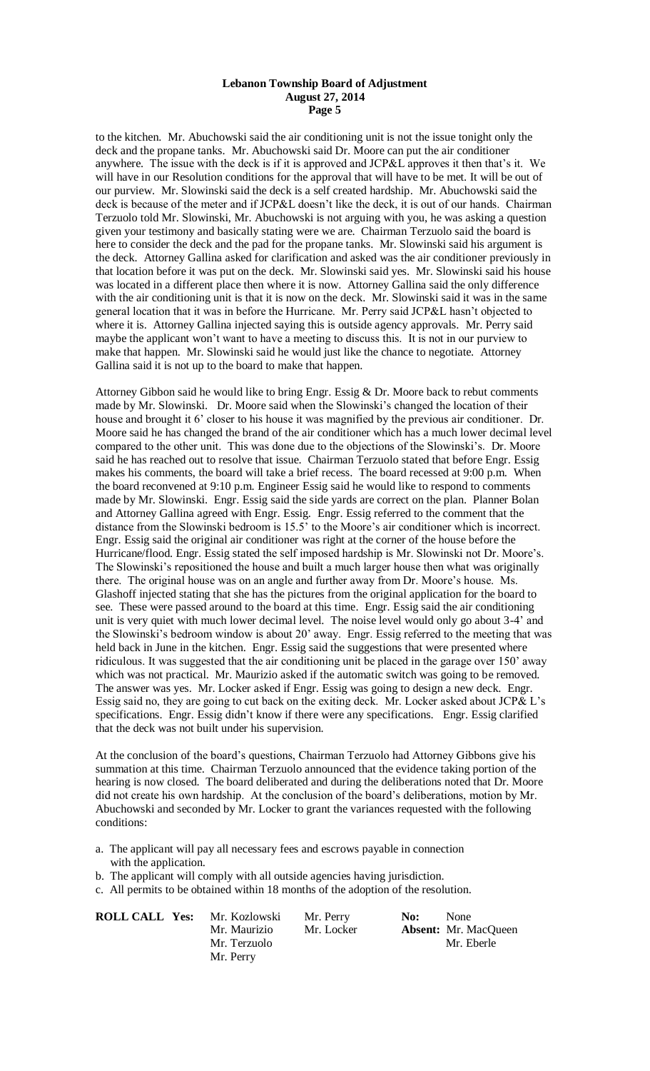to the kitchen. Mr. Abuchowski said the air conditioning unit is not the issue tonight only the deck and the propane tanks. Mr. Abuchowski said Dr. Moore can put the air conditioner anywhere. The issue with the deck is if it is approved and JCP&L approves it then that's it. We will have in our Resolution conditions for the approval that will have to be met. It will be out of our purview. Mr. Slowinski said the deck is a self created hardship. Mr. Abuchowski said the deck is because of the meter and if JCP&L doesn't like the deck, it is out of our hands. Chairman Terzuolo told Mr. Slowinski, Mr. Abuchowski is not arguing with you, he was asking a question given your testimony and basically stating were we are. Chairman Terzuolo said the board is here to consider the deck and the pad for the propane tanks. Mr. Slowinski said his argument is the deck. Attorney Gallina asked for clarification and asked was the air conditioner previously in that location before it was put on the deck. Mr. Slowinski said yes. Mr. Slowinski said his house was located in a different place then where it is now. Attorney Gallina said the only difference with the air conditioning unit is that it is now on the deck. Mr. Slowinski said it was in the same general location that it was in before the Hurricane. Mr. Perry said JCP&L hasn't objected to where it is. Attorney Gallina injected saying this is outside agency approvals. Mr. Perry said maybe the applicant won't want to have a meeting to discuss this. It is not in our purview to make that happen. Mr. Slowinski said he would just like the chance to negotiate. Attorney Gallina said it is not up to the board to make that happen.

Attorney Gibbon said he would like to bring Engr. Essig & Dr. Moore back to rebut comments made by Mr. Slowinski. Dr. Moore said when the Slowinski's changed the location of their house and brought it 6' closer to his house it was magnified by the previous air conditioner. Dr. Moore said he has changed the brand of the air conditioner which has a much lower decimal level compared to the other unit. This was done due to the objections of the Slowinski's. Dr. Moore said he has reached out to resolve that issue. Chairman Terzuolo stated that before Engr. Essig makes his comments, the board will take a brief recess. The board recessed at 9:00 p.m. When the board reconvened at 9:10 p.m. Engineer Essig said he would like to respond to comments made by Mr. Slowinski. Engr. Essig said the side yards are correct on the plan. Planner Bolan and Attorney Gallina agreed with Engr. Essig. Engr. Essig referred to the comment that the distance from the Slowinski bedroom is 15.5' to the Moore's air conditioner which is incorrect. Engr. Essig said the original air conditioner was right at the corner of the house before the Hurricane/flood. Engr. Essig stated the self imposed hardship is Mr. Slowinski not Dr. Moore's. The Slowinski's repositioned the house and built a much larger house then what was originally there. The original house was on an angle and further away from Dr. Moore's house. Ms. Glashoff injected stating that she has the pictures from the original application for the board to see. These were passed around to the board at this time. Engr. Essig said the air conditioning unit is very quiet with much lower decimal level. The noise level would only go about 3-4' and the Slowinski's bedroom window is about 20' away. Engr. Essig referred to the meeting that was held back in June in the kitchen. Engr. Essig said the suggestions that were presented where ridiculous. It was suggested that the air conditioning unit be placed in the garage over 150' away which was not practical. Mr. Maurizio asked if the automatic switch was going to be removed. The answer was yes. Mr. Locker asked if Engr. Essig was going to design a new deck. Engr. Essig said no, they are going to cut back on the exiting deck. Mr. Locker asked about JCP& L's specifications. Engr. Essig didn't know if there were any specifications. Engr. Essig clarified that the deck was not built under his supervision.

At the conclusion of the board's questions, Chairman Terzuolo had Attorney Gibbons give his summation at this time. Chairman Terzuolo announced that the evidence taking portion of the hearing is now closed. The board deliberated and during the deliberations noted that Dr. Moore did not create his own hardship. At the conclusion of the board's deliberations, motion by Mr. Abuchowski and seconded by Mr. Locker to grant the variances requested with the following conditions:

a. The applicant will pay all necessary fees and escrows payable in connection with the application.

b. The applicant will comply with all outside agencies having jurisdiction.

c. All permits to be obtained within 18 months of the adoption of the resolution.

| <b>ROLL CALL Yes:</b> Mr. Kozlowski | Mr. Perry  | No: | None                        |
|-------------------------------------|------------|-----|-----------------------------|
| Mr. Maurizio                        | Mr. Locker |     | <b>Absent:</b> Mr. MacQueen |
| Mr. Terzuolo                        |            |     | Mr. Eberle                  |
| Mr. Perry                           |            |     |                             |